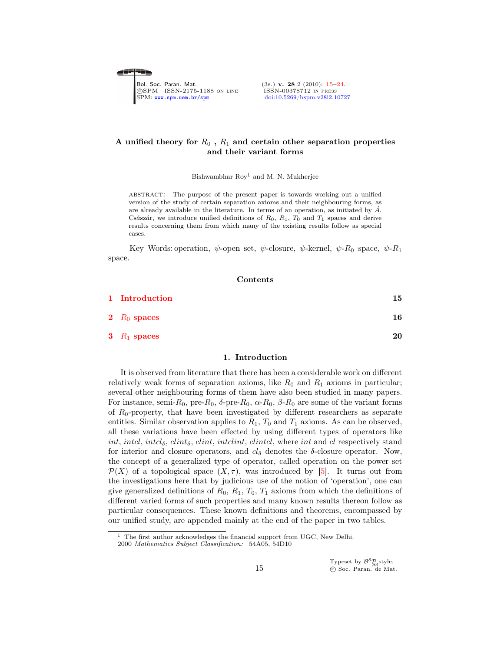<span id="page-0-0"></span>

Bol. Soc. Paran. Mat. (3s.) **v. 28** 2 (2010): [15–](#page-0-0)[24](#page-7-0).<br>©SPM –ISSN-2175-1188 on line ISSN-00378712 in press SPM: <www.spm.uem.br/spm> [doi:10.5269/bspm.v28i2.10727](http://dx.doi.org/10.5269/bspm.v28i2.10727)

## A unified theory for  $R_0$ ,  $R_1$  and certain other separation properties and their variant forms

Bishwambhar ${\rm Roy^1}$  and M. N. Mukherjee

abstract: The purpose of the present paper is towards working out a unified version of the study of certain separation axioms and their neighbouring forms, as are already available in the literature. In terms of an operation, as initiated by  $\dot{A}$ . Császár, we introduce unified definitions of  $R_0$ ,  $R_1$ ,  $T_0$  and  $T_1$  spaces and derive results concerning them from which many of the existing results follow as special cases.

Key Words: operation,  $\psi$ -open set,  $\psi$ -closure,  $\psi$ -kernel,  $\psi$ - $R_0$  space,  $\psi$ - $R_1$ space.

#### Contents

| 1 Introduction | 15 |
|----------------|----|
| 2 $R_0$ spaces | 16 |
| 3 $R_1$ spaces | 20 |

# 1. Introduction

<span id="page-0-1"></span>It is observed from literature that there has been a considerable work on different relatively weak forms of separation axioms, like  $R_0$  and  $R_1$  axioms in particular; several other neighbouring forms of them have also been studied in many papers. For instance, semi- $R_0$ , pre- $R_0$ ,  $\delta$ -pre- $R_0$ ,  $\alpha$ - $R_0$ ,  $\beta$ - $R_0$  are some of the variant forms of  $R_0$ -property, that have been investigated by different researchers as separate entities. Similar observation applies to  $R_1$ ,  $T_0$  and  $T_1$  axioms. As can be observed, all these variations have been effected by using different types of operators like int, intcl, intcl<sub>δ</sub>, clint<sub>δ</sub>, clint, intclint, clintcl, where int and cl respectively stand for interior and closure operators, and  $cl_{\delta}$  denotes the  $\delta$ -closure operator. Now, the concept of a generalized type of operator, called operation on the power set  $\mathcal{P}(X)$  of a topological space  $(X, \tau)$ , was introduced by [\[5\]](#page-7-1). It turns out from the investigations here that by judicious use of the notion of 'operation', one can give generalized definitions of  $R_0, R_1, T_0, T_1$  axioms from which the definitions of different varied forms of such properties and many known results thereon follow as particular consequences. These known definitions and theorems, encompassed by our unified study, are appended mainly at the end of the paper in two tables.

 $1$  The first author acknowledges the financial support from UGC, New Delhi.

<sup>2000</sup> Mathematics Subject Classification: 54A05, 54D10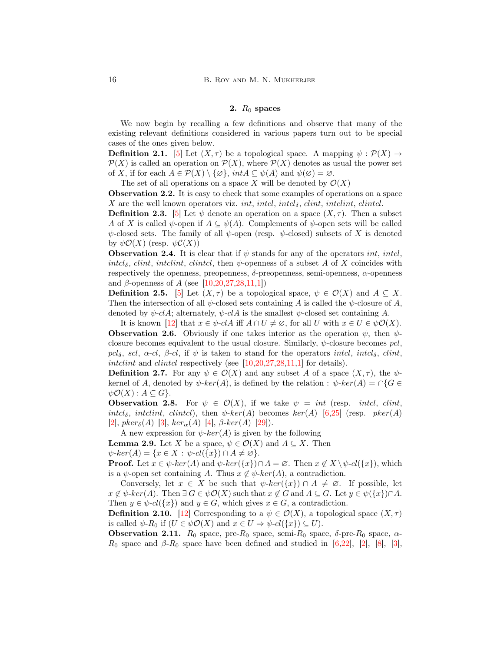#### 2.  $R_0$  spaces

<span id="page-1-0"></span>We now begin by recalling a few definitions and observe that many of the existing relevant definitions considered in various papers turn out to be special cases of the ones given below.

**Definition 2.1.** [\[5\]](#page-7-1) Let  $(X, \tau)$  be a topological space. A mapping  $\psi : \mathcal{P}(X) \rightarrow$  $\mathcal{P}(X)$  is called an operation on  $\mathcal{P}(X)$ , where  $\mathcal{P}(X)$  denotes as usual the power set of X, if for each  $A \in \mathcal{P}(X) \setminus \{\emptyset\}$ ,  $intA \subseteq \psi(A)$  and  $\psi(\emptyset) = \emptyset$ .

The set of all operations on a space X will be denoted by  $\mathcal{O}(X)$ 

Observation 2.2. It is easy to check that some examples of operations on a space X are the well known operators viz. int, intcl, intcl<sub>δ</sub>, clint, intclint, clintcl.

**Definition 2.3.** [\[5\]](#page-7-1) Let  $\psi$  denote an operation on a space  $(X, \tau)$ . Then a subset A of X is called  $\psi$ -open if  $A \subseteq \psi(A)$ . Complements of  $\psi$ -open sets will be called  $\psi$ -closed sets. The family of all  $\psi$ -open (resp.  $\psi$ -closed) subsets of X is denoted by  $\psi \mathcal{O}(X)$  (resp.  $\psi \mathcal{C}(X)$ )

**Observation 2.4.** It is clear that if  $\psi$  stands for any of the operators *int, intcl,* intcl<sub>δ</sub>, clint, intclint, clintcl, then  $\psi$ -openness of a subset A of X coincides with respectively the openness, preopenness,  $\delta$ -preopenness, semi-openness,  $\alpha$ -openness and β-openness of A (see [\[10,](#page-8-0)[20](#page-8-1)[,27,](#page-8-2)[28,](#page-8-3)[11](#page-8-4)[,1\]](#page-7-2))

**Definition 2.5.** [\[5\]](#page-7-1) Let  $(X, \tau)$  be a topological space,  $\psi \in \mathcal{O}(X)$  and  $A \subseteq X$ . Then the intersection of all  $\psi$ -closed sets containing A is called the  $\psi$ -closure of A, denoted by  $\psi$ -clA; alternately,  $\psi$ -clA is the smallest  $\psi$ -closed set containing A.

It is known [\[12\]](#page-8-5) that  $x \in \psi$ -clA iff  $A \cap U \neq \emptyset$ , for all U with  $x \in U \in \psi\mathcal{O}(X)$ . **Observation 2.6.** Obviously if one takes interior as the operation  $\psi$ , then  $\psi$ closure becomes equivalent to the usual closure. Similarly,  $\psi$ -closure becomes pcl, pcl<sub>δ</sub>, scl,  $\alpha$ -cl,  $\beta$ -cl, if  $\psi$  is taken to stand for the operators *intcl*, *intcl<sub>δ</sub>*, *clint*, *intclint* and *clintcl* respectively (see  $[10,20,27,28,11,1]$  $[10,20,27,28,11,1]$  $[10,20,27,28,11,1]$  $[10,20,27,28,11,1]$  $[10,20,27,28,11,1]$  $[10,20,27,28,11,1]$  for details).

**Definition 2.7.** For any  $\psi \in \mathcal{O}(X)$  and any subset A of a space  $(X, \tau)$ , the  $\psi$ kernel of A, denoted by  $\psi\text{-}ker(A)$ , is defined by the relation :  $\psi\text{-}ker(A) = \bigcap \{G \in$  $\psi\mathcal{O}(X): A \subseteq G$ .

**Observation 2.8.** For  $\psi \in \mathcal{O}(X)$ , if we take  $\psi = int$  (resp. *intel, clint,* intcl<sub>δ</sub>, intclint, clintcl), then  $\psi$ -ker(A) becomes ker(A) [\[6,](#page-7-3)[25\]](#page-8-6) (resp. pker(A) [\[2\]](#page-7-4),  $pker_{\delta}(A)$  [\[3\]](#page-7-5),  $ker_{\alpha}(A)$  [\[4\]](#page-7-6),  $\beta\text{-}ker(A)$  [\[29\]](#page-8-7)).

A new expression for  $\psi$ -ker(A) is given by the following **Lemma 2.9.** Let X be a space,  $\psi \in \mathcal{O}(X)$  and  $A \subseteq X$ . Then  $\psi\text{-}ker(A) = \{x \in X : \psi\text{-}cl(\{x\}) \cap A \neq \emptyset\}.$ 

**Proof.** Let  $x \in \psi$ -ker(A) and  $\psi$ -ker({x})∩A = ∅. Then  $x \notin X \setminus \psi$ -cl({x}), which is a  $\psi$ -open set containing A. Thus  $x \notin \psi$ -ker(A), a contradiction.

Conversely, let  $x \in X$  be such that  $\psi \text{-} \text{ker}(\{x\}) \cap A \neq \emptyset$ . If possible, let  $x \notin \psi\text{-}ker(A)$ . Then  $\exists G \in \psi\mathcal{O}(X)$  such that  $x \notin G$  and  $A \subseteq G$ . Let  $y \in \psi(\lbrace x \rbrace) \cap A$ . Then  $y \in \psi$ -cl( $\{x\}$ ) and  $y \in G$ , which gives  $x \in G$ , a contradiction.

**Definition 2.10.** [\[12\]](#page-8-5) Corresponding to a  $\psi \in \mathcal{O}(X)$ , a topological space  $(X, \tau)$ is called  $\psi$ - $R_0$  if  $(U \in \psi \mathcal{O}(X)$  and  $x \in U \Rightarrow \psi \text{-}cl(\lbrace x \rbrace) \subseteq U$ .

**Observation 2.11.**  $R_0$  space, pre- $R_0$  space, semi- $R_0$  space,  $\delta$ -pre- $R_0$  space,  $\alpha$ - $R_0$  space and  $\beta$ - $R_0$  space have been defined and studied in [\[6,](#page-7-3)[22\]](#page-8-8), [\[2\]](#page-7-4), [\[8\]](#page-8-9), [\[3\]](#page-7-5),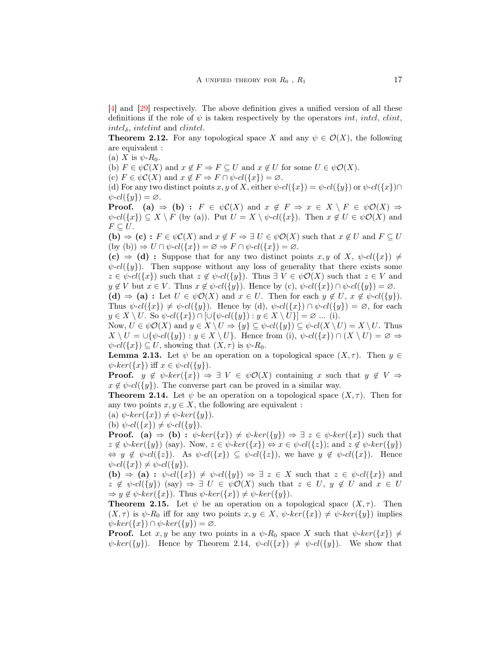[\[4\]](#page-7-6) and [\[29\]](#page-8-7) respectively. The above definition gives a unified version of all these definitions if the role of  $\psi$  is taken respectively by the operators int, intcl, clint, intcl<sub>δ</sub>, intclint and clintcl.

**Theorem 2.12.** For any topological space X and any  $\psi \in \mathcal{O}(X)$ , the following are equivalent :

(a) X is  $\psi$ - $R_0$ .

(b)  $F \in \psi C(X)$  and  $x \notin F \Rightarrow F \subseteq U$  and  $x \notin U$  for some  $U \in \psi \mathcal{O}(X)$ .

(c)  $F \in \psi C(X)$  and  $x \notin F \Rightarrow F \cap \psi \text{-}cl(\lbrace x \rbrace) = \emptyset$ .

(d) For any two distinct points x, y of X, either  $\psi$ -cl({x}) =  $\psi$ -cl({y}) or  $\psi$ -cl({x})∩  $\psi$ - $cl({y}) = \varnothing$ .

**Proof.** (a)  $\Rightarrow$  (b) :  $F \in \psi C(X)$  and  $x \notin F \Rightarrow x \in X \setminus F \in \psi O(X) \Rightarrow$  $\psi\text{-}cl(\lbrace x\rbrace)\subseteq X\setminus F$  (by (a)). Put  $U=X\setminus\psi\text{-}cl(\lbrace x\rbrace)$ . Then  $x\notin U\in\psi\mathcal{O}(X)$  and  $F \subseteq U$ .

(b)  $\Rightarrow$  (c) :  $F \in \psi C(X)$  and  $x \notin F \Rightarrow \exists U \in \psi O(X)$  such that  $x \notin U$  and  $F \subseteq U$  $(by (b)) \Rightarrow U \cap \psi \text{-} cl({x}) = \varnothing \Rightarrow F \cap \psi \text{-} cl({x}) = \varnothing.$ 

 $(c) \Rightarrow (d)$ : Suppose that for any two distinct points  $x, y$  of  $X, \psi \text{-}cl(\lbrace x \rbrace) \neq 0$  $\psi$ -cl( $\{y\}$ ). Then suppose without any loss of generality that there exists some  $z \in \psi$ -cl({x}) such that  $z \notin \psi$ -cl({y}). Thus  $\exists V \in \psi \mathcal{O}(X)$  such that  $z \in V$  and  $y \notin V$  but  $x \in V$ . Thus  $x \notin \psi-cl({y})$ . Hence by (c),  $\psi-cl({x}) \cap \psi-cl({y}) = \emptyset$ .

(d)  $\Rightarrow$  (a) : Let  $U \in \psi \mathcal{O}(X)$  and  $x \in U$ . Then for each  $y \notin U$ ,  $x \notin \psi \text{-}cl(\{y\})$ . Thus  $\psi$ -cl({x})  $\neq \psi$ -cl({y}). Hence by (d),  $\psi$ -cl({x})  $\cap \psi$ -cl({y}) =  $\varnothing$ , for each  $y \in X \setminus U$ . So  $\psi$ - $cl({x}) \cap [\cup \{\psi$ - $cl({y}) : y \in X \setminus U\}] = \varnothing$  ... (i).

Now,  $U \in \psi \mathcal{O}(X)$  and  $y \in X \setminus U \Rightarrow \{y\} \subseteq \psi \text{-}cl(\{y\}) \subseteq \psi \text{-}cl(X \setminus U) = X \setminus U$ . Thus  $X \setminus U = \bigcup \{\psi\text{-}cl(\{y\}) : y \in X \setminus U\}.$  Hence from (i),  $\psi\text{-}cl(\{x\}) \cap (X \setminus U) = \varnothing \Rightarrow$  $\psi$ -cl({x})  $\subseteq U$ , showing that  $(X, \tau)$  is  $\psi$ - $R_0$ .

**Lemma 2.13.** Let  $\psi$  be an operation on a topological space  $(X, \tau)$ . Then  $y \in$  $\psi\text{-}ker({x})$  iff  $x \in \psi\text{-}cl({y}).$ 

**Proof.**  $y \notin \psi\text{-}ker(\{x\}) \Rightarrow \exists V \in \psi\mathcal{O}(X)$  containing x such that  $y \notin V \Rightarrow$  $x \notin \psi$ -cl({y}). The converse part can be proved in a similar way.

**Theorem 2.14.** Let  $\psi$  be an operation on a topological space  $(X, \tau)$ . Then for any two points  $x, y \in X$ , the following are equivalent :

(a) 
$$
\psi\text{-}ker({x}) \neq \psi\text{-}ker({y}).
$$

(b)  $\psi$ - $cl({x}) \neq \psi$ - $cl({y}).$ 

**Proof.** (a)  $\Rightarrow$  (b) :  $\psi$ -ker({x})  $\neq \psi$ -ker({y})  $\Rightarrow \exists z \in \psi$ -ker({x}) such that  $z \notin \psi\text{-}ker({y})$  (say). Now,  $z \in \psi\text{-}ker({x}) \Leftrightarrow x \in \psi\text{-}cl({z})$ ; and  $z \notin \psi\text{-}ker({y})$  $\Leftrightarrow y \notin \psi-cl({z}).$  As  $\psi-cl({x}) \subseteq \psi-cl({z}),$  we have  $y \notin \psi-cl({x}).$  Hence  $\psi$ -cl({x})  $\neq \psi$ -cl({y}).

(b)  $\Rightarrow$  (a) :  $\psi$ -cl({x})  $\neq$   $\psi$ -cl({y})  $\Rightarrow$   $\exists$  z  $\in$  X such that  $z \in \psi$ -cl({x}) and  $z \notin \psi\text{-}cl(\{y\})$  (say)  $\Rightarrow \exists U \in \psi\mathcal{O}(X)$  such that  $z \in U$ ,  $y \notin U$  and  $x \in U$  $\Rightarrow y \notin \psi\text{-}ker(\lbrace x \rbrace)$ . Thus  $\psi\text{-}ker(\lbrace x \rbrace) \neq \psi\text{-}ker(\lbrace y \rbrace)$ .

**Theorem 2.15.** Let  $\psi$  be an operation on a topological space  $(X, \tau)$ . Then  $(X, \tau)$  is  $\psi$ -R<sub>0</sub> iff for any two points  $x, y \in X$ ,  $\psi$ -ker({x})  $\neq \psi$ -ker({y}) implies  $\psi\text{-}ker(\lbrace x \rbrace) \cap \psi\text{-}ker(\lbrace y \rbrace) = \varnothing.$ 

**Proof.** Let x, y be any two points in a  $\psi$ - $R_0$  space X such that  $\psi$ - $ker({x}) \neq$  $\psi\text{-}ker({y})$ . Hence by Theorem 2.14,  $\psi\text{-}cl({x}) \neq \psi\text{-}cl({y})$ . We show that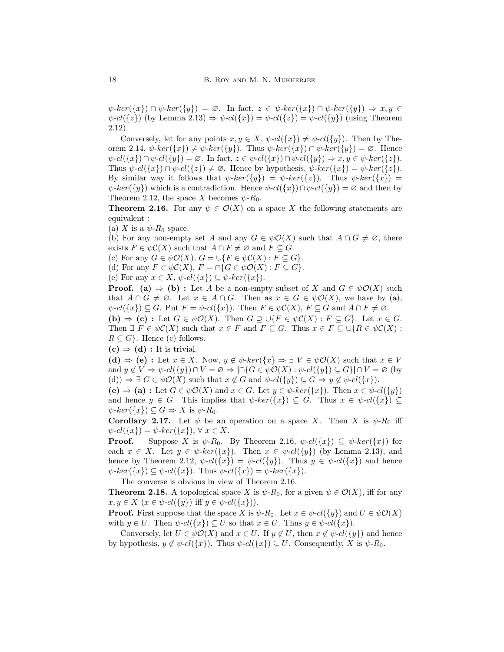$\psi\text{-}ker(\lbrace x \rbrace) \cap \psi\text{-}ker(\lbrace y \rbrace) = \varnothing$ . In fact,  $z \in \psi\text{-}ker(\lbrace x \rbrace) \cap \psi\text{-}ker(\lbrace y \rbrace) \Rightarrow x, y \in$  $\psi\text{-}cl({z})$  (by Lemma 2.13)  $\Rightarrow \psi\text{-}cl({x}) = \psi\text{-}cl({z}) = \psi\text{-}cl({y})$  (using Theorem 2.12).

Conversely, let for any points  $x, y \in X$ ,  $\psi$ -cl $({x}) \neq \psi$ -cl $({y})$ . Then by Theorem 2.14,  $\psi\text{-}ker({x}) \neq \psi\text{-}ker({y})$ . Thus  $\psi\text{-}ker({x}) \cap \psi\text{-}ker({y}) = \varnothing$ . Hence  $\psi-cl({x}) \cap \psi-cl({y}) = \emptyset$ . In fact,  $z \in \psi-cl({x}) \cap \psi-cl({y}) \Rightarrow x, y \in \psi \text{-}ker({z}).$ Thus  $\psi$ -cl $({x}) \cap \psi$ -cl $({z}) \neq \emptyset$ . Hence by hypothesis,  $\psi$ -ker $({x}) = \psi$ -ker $({z})$ . By similar way it follows that  $\psi\text{-}ker({y}) = \psi\text{-}ker({z})$ . Thus  $\psi\text{-}ker({x}) =$  $\psi\text{-}ker({y})$  which is a contradiction. Hence  $\psi\text{-}cl({x})\cap\psi\text{-}cl({y})=\varnothing$  and then by Theorem 2.12, the space X becomes  $\psi$ - $R_0$ .

**Theorem 2.16.** For any  $\psi \in \mathcal{O}(X)$  on a space X the following statements are equivalent :

(a) X is a  $\psi$ - $R_0$  space.

(b) For any non-empty set A and any  $G \in \psi \mathcal{O}(X)$  such that  $A \cap G \neq \emptyset$ , there exists  $F \in \psi C(X)$  such that  $A \cap F \neq \emptyset$  and  $F \subseteq G$ .

(c) For any  $G \in \psi \mathcal{O}(X)$ ,  $G = \bigcup \{F \in \psi \mathcal{C}(X) : F \subseteq G\}.$ 

(d) For any  $F \in \psi C(X)$ ,  $F = \bigcap \{ G \in \psi \mathcal{O}(X) : F \subseteq G \}.$ 

(e) For any  $x \in X$ ,  $\psi$ - $cl({x}) \subseteq \psi$ - $ker({x})$ .

**Proof.** (a)  $\Rightarrow$  (b) : Let A be a non-empty subset of X and  $G \in \psi\mathcal{O}(X)$  such that  $A \cap G \neq \emptyset$ . Let  $x \in A \cap G$ . Then as  $x \in G \in \psi \mathcal{O}(X)$ , we have by (a),  $\psi$ - $cl({x}) \subseteq G$ . Put  $F = \psi$ - $cl({x})$ . Then  $F \in \psi C(X)$ ,  $F \subseteq G$  and  $A \cap F \neq \emptyset$ .

(b)  $\Rightarrow$  (c) : Let  $G \in \psi \mathcal{O}(X)$ . Then  $G \supseteq \bigcup \{F \in \psi \mathcal{C}(X) : F \subseteq G\}$ . Let  $x \in G$ . Then  $\exists F \in \psi C(X)$  such that  $x \in F$  and  $F \subseteq G$ . Thus  $x \in F \subseteq \bigcup \{R \in \psi C(X) :$  $R \subseteq G$ . Hence (c) follows.

 $(c) \Rightarrow (d) :$  It is trivial.

(d)  $\Rightarrow$  (e) : Let  $x \in X$ . Now,  $y \notin \psi \text{-} \ker(\{x\} \Rightarrow \exists V \in \psi \mathcal{O}(X)$  such that  $x \in V$ and  $y \notin V \Rightarrow \psi \text{-} cl({y}) \cap V = \varnothing \Rightarrow [\cap {G \in \psi \mathcal{O}(X) : \psi \text{-} cl({y}) \subseteq G}] \cap V = \varnothing$  (by  $(d)$ )  $\Rightarrow \exists G \in \psi \mathcal{O}(X)$  such that  $x \notin G$  and  $\psi$ - $cl({y}) \subseteq G \Rightarrow y \notin \psi$ - $cl({x})$ .

(e)  $\Rightarrow$  (a) : Let  $G \in \psi \mathcal{O}(X)$  and  $x \in G$ . Let  $y \in \psi$ -ker({x}). Then  $x \in \psi$ -cl({y}) and hence  $y \in G$ . This implies that  $\psi\text{-}ker(\lbrace x \rbrace) \subseteq G$ . Thus  $x \in \psi\text{-}el(\lbrace x \rbrace) \subseteq$  $\psi\text{-}ker(\lbrace x \rbrace) \subseteq G \Rightarrow X$  is  $\psi\text{-}R_0$ .

Corollary 2.17. Let  $\psi$  be an operation on a space X. Then X is  $\psi$ -R<sub>0</sub> iff  $\psi$ -cl({x}) =  $\psi$ -ker({x}),  $\forall x \in X$ .

**Proof.** Suppose X is  $\psi$ -R<sub>0</sub>. By Theorem 2.16,  $\psi$ -cl( $\{x\}$ )  $\subseteq$   $\psi$ -ker( $\{x\}$ ) for each  $x \in X$ . Let  $y \in \psi\text{-}ker({x})$ . Then  $x \in \psi\text{-}cl({y})$  (by Lemma 2.13), and hence by Theorem 2.12,  $\psi$ -cl( $\{x\}$ ) =  $\psi$ -cl( $\{y\}$ ). Thus  $y \in \psi$ -cl( $\{x\}$ ) and hence  $\psi\text{-}ker(\lbrace x \rbrace) \subseteq \psi\text{-}cl(\lbrace x \rbrace)$ . Thus  $\psi\text{-}cl(\lbrace x \rbrace) = \psi\text{-}ker(\lbrace x \rbrace)$ .

The converse is obvious in view of Theorem 2.16.

**Theorem 2.18.** A topological space X is  $\psi$ -R<sub>0</sub>, for a given  $\psi \in \mathcal{O}(X)$ , iff for any  $x, y \in X \ (x \in \psi\text{-}cl(\{y\}) \text{ iff } y \in \psi\text{-}cl(\{x\})).$ 

**Proof.** First suppose that the space X is  $\psi$ -R<sub>0</sub>. Let  $x \in \psi$ -cl( $\{y\}$ ) and  $U \in \psi\mathcal{O}(X)$ with  $y \in U$ . Then  $\psi$ - $cl({x}) \subseteq U$  so that  $x \in U$ . Thus  $y \in \psi$ - $cl({x})$ .

Conversely, let  $U \in \psi \mathcal{O}(X)$  and  $x \in U$ . If  $y \notin U$ , then  $x \notin \psi \text{-}cl(\{y\})$  and hence by hypothesis,  $y \notin \psi-cl({x})$ . Thus  $\psi-cl({x}) \subseteq U$ . Consequently, X is  $\psi$ - $R_0$ .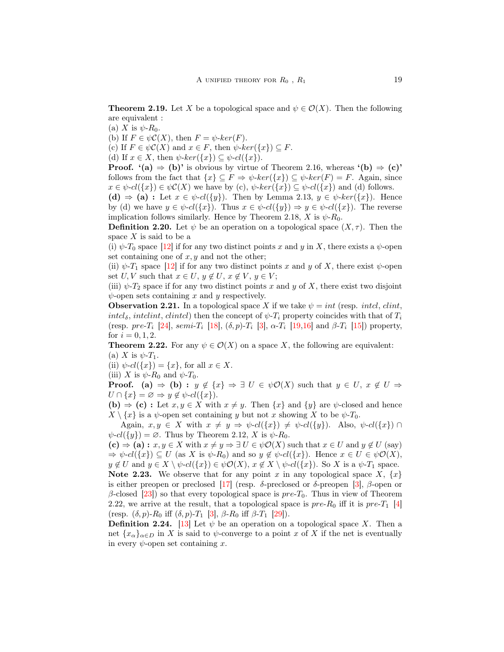**Theorem 2.19.** Let X be a topological space and  $\psi \in \mathcal{O}(X)$ . Then the following are equivalent :

(a) X is  $\psi$ - $R_0$ .

(b) If  $F \in \psi C(X)$ , then  $F = \psi \text{-} \text{ker}(F)$ .

(c) If  $F \in \psi C(X)$  and  $x \in F$ , then  $\psi \text{-} \text{ker}(\{x\}) \subseteq F$ .

(d) If  $x \in X$ , then  $\psi \text{-} \text{ker}(\{x\}) \subseteq \psi \text{-} \text{cl}(\{x\}).$ 

**Proof.**  $'(a) \Rightarrow (b)'$  is obvious by virtue of Theorem 2.16, whereas  $'(b) \Rightarrow (c)'$ follows from the fact that  $\{x\} \subseteq F \Rightarrow \psi\text{-}ker(\{x\}) \subseteq \psi\text{-}ker(F) = F$ . Again, since  $x \in \psi \text{-}cl(\lbrace x \rbrace) \in \psi \mathcal{C}(X)$  we have by (c),  $\psi \text{-}ker(\lbrace x \rbrace) \subseteq \psi \text{-}cl(\lbrace x \rbrace)$  and (d) follows.

(d)  $\Rightarrow$  (a) : Let  $x \in \psi$ -cl( $\{y\}$ ). Then by Lemma 2.13,  $y \in \psi$ -ker( $\{x\}$ ). Hence by (d) we have  $y \in \psi$ -cl({x}). Thus  $x \in \psi$ -cl({y})  $\Rightarrow y \in \psi$ -cl({x}). The reverse implication follows similarly. Hence by Theorem 2.18, X is  $\psi$ - $R_0$ .

**Definition 2.20.** Let  $\psi$  be an operation on a topological space  $(X, \tau)$ . Then the space  $X$  is said to be a

(i)  $\psi$ -T<sub>0</sub> space [\[12\]](#page-8-5) if for any two distinct points x and y in X, there exists a  $\psi$ -open set containing one of  $x, y$  and not the other;

(ii)  $\psi$ -T<sub>1</sub> space [\[12\]](#page-8-5) if for any two distinct points x and y of X, there exist  $\psi$ -open set  $U, V$  such that  $x \in U, y \notin U, x \notin V, y \in V$ ;

(iii)  $\psi$ -T<sub>2</sub> space if for any two distinct points x and y of X, there exist two disjoint  $\psi$ -open sets containing x and y respectively.

**Observation 2.21.** In a topological space X if we take  $\psi = int$  (resp. *intcl, clint,* intcl<sub>δ</sub>, intclint, clintcl) then the concept of  $\psi$ -T<sub>i</sub> property coincides with that of T<sub>i</sub> (resp.  $pre-T_i$  [\[24\]](#page-8-10),  $semi-T_i$  [\[18\]](#page-8-11),  $(\delta, p)$ - $T_i$  [\[3\]](#page-7-5),  $\alpha$ - $T_i$  [\[19](#page-8-12)[,16\]](#page-8-13) and  $\beta$ - $T_i$  [\[15\]](#page-8-14)) property, for  $i = 0, 1, 2$ .

**Theorem 2.22.** For any  $\psi \in \mathcal{O}(X)$  on a space X, the following are equivalent: (a) X is  $\psi$ - $T_1$ .

(ii)  $\psi$ - $cl({x}) = {x}$ , for all  $x \in X$ .

(iii) X is  $\psi$ - $R_0$  and  $\psi$ - $T_0$ .

**Proof.** (a)  $\Rightarrow$  (b) :  $y \notin \{x\} \Rightarrow \exists U \in \psi \mathcal{O}(X)$  such that  $y \in U$ ,  $x \notin U \Rightarrow$  $U \cap \{x\} = \emptyset \Rightarrow y \notin \psi\text{-}cl(\{x\}).$ 

(b)  $\Rightarrow$  (c) : Let  $x, y \in X$  with  $x \neq y$ . Then  $\{x\}$  and  $\{y\}$  are  $\psi$ -closed and hence  $X \setminus \{x\}$  is a  $\psi$ -open set containing y but not x showing X to be  $\psi$ - $T_0$ .

Again,  $x, y \in X$  with  $x \neq y \Rightarrow \psi \text{-} cl({x}) \neq \psi \text{-} cl({y})$ . Also,  $\psi \text{-} cl({x}) \cap$  $\psi$ -cl( $\{y\}$ ) =  $\emptyset$ . Thus by Theorem 2.12, X is  $\psi$ - $R_0$ .

 $(c) \Rightarrow (a) : x, y \in X$  with  $x \neq y \Rightarrow \exists U \in \psi \mathcal{O}(X)$  such that  $x \in U$  and  $y \notin U$  (say)  $\Rightarrow \psi \text{-} cl({x}) \subseteq U$  (as X is  $\psi \text{-} R_0$ ) and so  $y \notin \psi \text{-} cl({x})$ . Hence  $x \in U \in \psi \mathcal{O}(X)$ ,  $y \notin U$  and  $y \in X \setminus \psi-cl({x}) \in \psi \mathcal{O}(X), x \notin X \setminus \psi-cl({x})$ . So X is a  $\psi$ -T<sub>1</sub> space.

Note 2.23. We observe that for any point x in any topological space  $X$ ,  $\{x\}$ is either preopen or preclosed [\[17\]](#page-8-15) (resp. δ-preclosed or δ-preopen [\[3\]](#page-7-5), β-open or β-closed [\[23\]](#page-8-16)) so that every topological space is  $pre-T_0$ . Thus in view of Theorem 2.22, we arrive at the result, that a topological space is  $pre-R_0$  iff it is  $pre-T_1$  [\[4\]](#page-7-6) (resp.  $(\delta, p)$ - $R_0$  iff  $(\delta, p)$ - $T_1$  [\[3\]](#page-7-5),  $\beta$ - $R_0$  iff  $\beta$ - $T_1$  [\[29\]](#page-8-7)).

**Definition 2.24.** [\[13\]](#page-8-17) Let  $\psi$  be an operation on a topological space X. Then a net  $\{x_{\alpha}\}_{{\alpha}\in D}$  in X is said to  $\psi$ -converge to a point x of X if the net is eventually in every  $\psi$ -open set containing x.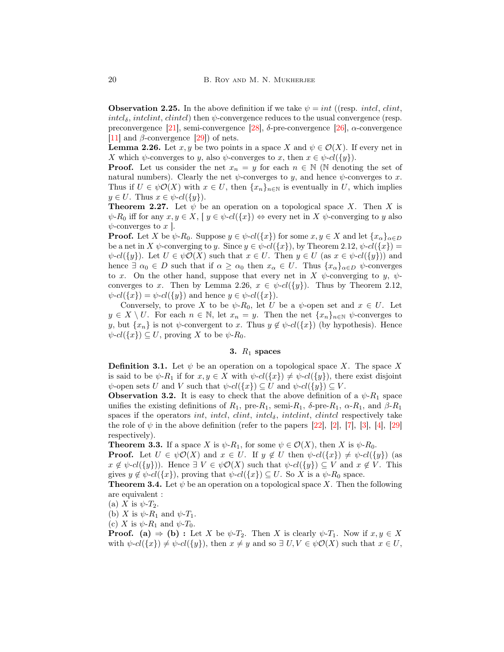**Observation 2.25.** In the above definition if we take  $\psi = int$  ((resp. *intcl, clint,*  $intcl_{\delta}$ , intclint, clintcl) then  $\psi$ -convergence reduces to the usual convergence (resp. preconvergence [\[21\]](#page-8-18), semi-convergence [\[28\]](#page-8-3), δ-pre-convergence [\[26\]](#page-8-19), α-convergence [\[11\]](#page-8-4) and  $\beta$ -convergence [\[29\]](#page-8-7)) of nets.

**Lemma 2.26.** Let x, y be two points in a space X and  $\psi \in \mathcal{O}(X)$ . If every net in X which  $\psi$ -converges to y, also  $\psi$ -converges to x, then  $x \in \psi$ -cl({y}).

**Proof.** Let us consider the net  $x_n = y$  for each  $n \in \mathbb{N}$  (N denoting the set of natural numbers). Clearly the net  $\psi$ -converges to y, and hence  $\psi$ -converges to x. Thus if  $U \in \psi \mathcal{O}(X)$  with  $x \in U$ , then  $\{x_n\}_{n \in \mathbb{N}}$  is eventually in U, which implies  $y \in U$ . Thus  $x \in \psi$ - $cl({y})$ .

**Theorem 2.27.** Let  $\psi$  be an operation on a topological space X. Then X is  $\psi$ -R<sub>0</sub> iff for any  $x, y \in X$ ,  $y \in \psi$ -cl $(\{x\}) \Leftrightarrow$  every net in X  $\psi$ -converging to y also  $\psi$ -converges to x.

**Proof.** Let X be  $\psi$ -R<sub>0</sub>. Suppose  $y \in \psi$ -cl $(\lbrace x \rbrace)$  for some  $x, y \in X$  and let  $\lbrace x_{\alpha} \rbrace_{\alpha \in D}$ be a net in X  $\psi$ -converging to y. Since  $y \in \psi$ -cl( $\{x\}$ ), by Theorem 2.12,  $\psi$ -cl( $\{x\}$ ) =  $\psi$ -cl({y}). Let  $U \in \psi \mathcal{O}(X)$  such that  $x \in U$ . Then  $y \in U$  (as  $x \in \psi$ -cl({y})) and hence  $\exists \alpha_0 \in D$  such that if  $\alpha \ge \alpha_0$  then  $x_\alpha \in U$ . Thus  $\{x_\alpha\}_{\alpha \in D}$   $\psi$ -converges to x. On the other hand, suppose that every net in X  $\psi$ -converging to y,  $\psi$ converges to x. Then by Lemma 2.26,  $x \in \psi$ -cl( $\{y\}$ ). Thus by Theorem 2.12,  $\psi$ -cl({x}) =  $\psi$ -cl({y}) and hence  $y \in \psi$ -cl({x}).

Conversely, to prove X to be  $\psi$ - $R_0$ , let U be a  $\psi$ -open set and  $x \in U$ . Let  $y \in X \setminus U$ . For each  $n \in \mathbb{N}$ , let  $x_n = y$ . Then the net  $\{x_n\}_{n \in \mathbb{N}}$   $\psi$ -converges to y, but  $\{x_n\}$  is not  $\psi$ -convergent to x. Thus  $y \notin \psi$ -cl( $\{x\}$ ) (by hypothesis). Hence  $\psi$ -cl( $\{x\}$ )  $\subseteq U$ , proving X to be  $\psi$ - $R_0$ .

### 3.  $R_1$  spaces

<span id="page-5-0"></span>**Definition 3.1.** Let  $\psi$  be an operation on a topological space X. The space X is said to be  $\psi$ -R<sub>1</sub> if for  $x, y \in X$  with  $\psi$ -cl( $\{x\}$ )  $\neq \psi$ -cl( $\{y\}$ ), there exist disjoint  $\psi$ -open sets U and V such that  $\psi$ - $cl({x}) \subseteq U$  and  $\psi$ - $cl({y}) \subseteq V$ .

**Observation 3.2.** It is easy to check that the above definition of a  $\psi$ - $R_1$  space unifies the existing definitions of  $R_1$ , pre- $R_1$ , semi- $R_1$ ,  $\delta$ -pre- $R_1$ ,  $\alpha$ - $R_1$ , and  $\beta$ - $R_1$ spaces if the operators int, intcl, clint, intcl<sub>δ</sub>, intclint, clintcl respectively take the role of  $\psi$  in the above definition (refer to the papers [\[22\]](#page-8-8), [\[2\]](#page-7-4), [\[7\]](#page-7-7), [\[3\]](#page-7-5), [\[4\]](#page-7-6), [\[29\]](#page-8-7) respectively).

**Theorem 3.3.** If a space X is  $\psi$ -R<sub>1</sub>, for some  $\psi \in \mathcal{O}(X)$ , then X is  $\psi$ -R<sub>0</sub>.

**Proof.** Let  $U \in \psi \mathcal{O}(X)$  and  $x \in U$ . If  $y \notin U$  then  $\psi$ - $cl({x}) \neq \psi$ - $cl({y})$  (as  $x \notin \psi\text{-}cl(\{y\})$ . Hence  $\exists V \in \psi\mathcal{O}(X)$  such that  $\psi\text{-}cl(\{y\}) \subseteq V$  and  $x \notin V$ . This gives  $y \notin \psi-cl({x})$ , proving that  $\psi-cl({x}) \subseteq U$ . So X is a  $\psi-R_0$  space.

**Theorem 3.4.** Let  $\psi$  be an operation on a topological space X. Then the following are equivalent :

(a) X is  $\psi$ - $T_2$ .

(b) X is  $\psi$ - $R_1$  and  $\psi$ - $T_1$ .

(c) X is  $\psi$ - $R_1$  and  $\psi$ - $T_0$ .

**Proof.** (a)  $\Rightarrow$  (b) : Let X be  $\psi$ -T<sub>2</sub>. Then X is clearly  $\psi$ -T<sub>1</sub>. Now if  $x, y \in X$ with  $\psi$ -cl({x})  $\neq \psi$ -cl({y}), then  $x \neq y$  and so  $\exists U, V \in \psi \mathcal{O}(X)$  such that  $x \in U$ ,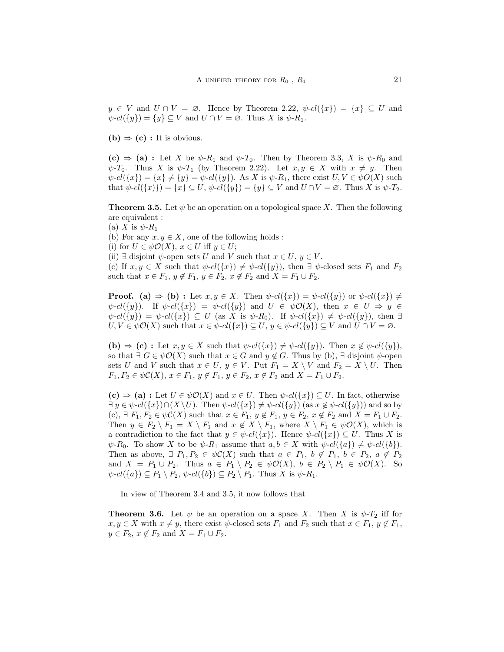$y \in V$  and  $U \cap V = \emptyset$ . Hence by Theorem 2.22,  $\psi$ - $cl({x}) = {x} \subseteq U$  and  $\psi$ -cl( $\{y\}$ ) =  $\{y\} \subseteq V$  and  $U \cap V = \emptyset$ . Thus X is  $\psi$ - $R_1$ .

 $(b) \Rightarrow (c)$ : It is obvious.

(c)  $\Rightarrow$  (a) : Let X be  $\psi$ -R<sub>1</sub> and  $\psi$ -T<sub>0</sub>. Then by Theorem 3.3, X is  $\psi$ -R<sub>0</sub> and  $\psi$ -T<sub>0</sub>. Thus X is  $\psi$ -T<sub>1</sub> (by Theorem 2.22). Let  $x, y \in X$  with  $x \neq y$ . Then  $\psi$ -cl $(\{x\}) = \{x\} \neq \{y\} = \psi$ -cl $(\{y\})$ . As X is  $\psi$ -R<sub>1</sub>, there exist  $U, V \in \psi O(X)$  such that  $\psi$ - $cl({x})$ ) =  ${x} \subseteq U$ ,  $\psi$ - $cl({y}) = {y} \subseteq V$  and  $U \cap V = \emptyset$ . Thus X is  $\psi$ - $T_2$ .

**Theorem 3.5.** Let  $\psi$  be an operation on a topological space X. Then the following are equivalent :

(a) X is  $\psi$ - $R_1$ 

(b) For any  $x, y \in X$ , one of the following holds :

(i) for  $U \in \psi \mathcal{O}(X)$ ,  $x \in U$  iff  $y \in U$ ;

(ii)  $\exists$  disjoint  $\psi$ -open sets U and V such that  $x \in U, y \in V$ .

(c) If  $x, y \in X$  such that  $\psi$ - $cl({x}) \neq \psi$ - $cl({y})$ , then  $\exists \psi$ -closed sets  $F_1$  and  $F_2$ such that  $x \in F_1$ ,  $y \notin F_1$ ,  $y \in F_2$ ,  $x \notin F_2$  and  $X = F_1 \cup F_2$ .

**Proof.** (a)  $\Rightarrow$  (b) : Let  $x, y \in X$ . Then  $\psi$ -cl({x}) =  $\psi$ -cl({y}) or  $\psi$ -cl({x})  $\neq$  $\psi\text{-}cl({y}).$  If  $\psi\text{-}cl({x}) = \psi\text{-}cl({y})$  and  $U \in \psi\mathcal{O}(X)$ , then  $x \in U \Rightarrow y \in$  $\psi$ -cl({y}) =  $\psi$ -cl({x})  $\subseteq U$  (as X is  $\psi$ -R<sub>0</sub>). If  $\psi$ -cl({x})  $\neq \psi$ -cl({y}), then  $\exists$  $U, V \in \psi \mathcal{O}(X)$  such that  $x \in \psi \text{-}cl(\lbrace x \rbrace) \subseteq U, y \in \psi \text{-}cl(\lbrace y \rbrace) \subseteq V$  and  $U \cap V = \varnothing$ .

(b)  $\Rightarrow$  (c) : Let  $x, y \in X$  such that  $\psi\text{-}cl(\lbrace x \rbrace) \neq \psi\text{-}cl(\lbrace y \rbrace)$ . Then  $x \notin \psi\text{-}cl(\lbrace y \rbrace)$ , so that  $\exists G \in \psi \mathcal{O}(X)$  such that  $x \in G$  and  $y \notin G$ . Thus by (b),  $\exists$  disjoint  $\psi$ -open sets U and V such that  $x \in U$ ,  $y \in V$ . Put  $F_1 = X \setminus V$  and  $F_2 = X \setminus U$ . Then  $F_1, F_2 \in \psi \mathcal{C}(X), x \in F_1, y \notin F_1, y \in F_2, x \notin F_2 \text{ and } X = F_1 \cup F_2.$ 

 $(c) \Rightarrow (a) :$  Let  $U \in \psi \mathcal{O}(X)$  and  $x \in U$ . Then  $\psi \text{-}cl(\lbrace x \rbrace) \subseteq U$ . In fact, otherwise  $\exists y \in \psi \text{-}cl(\lbrace x \rbrace) \cap (X \setminus U)$ . Then  $\psi \text{-}cl(\lbrace x \rbrace) \neq \psi \text{-}cl(\lbrace y \rbrace)$  (as  $x \notin \psi \text{-}cl(\lbrace y \rbrace)$ ) and so by (c),  $\exists F_1, F_2 \in \psi C(X)$  such that  $x \in F_1, y \notin F_1, y \in F_2, x \notin F_2$  and  $X = F_1 \cup F_2$ . Then  $y \in F_2 \setminus F_1 = X \setminus F_1$  and  $x \notin X \setminus F_1$ , where  $X \setminus F_1 \in \psi \mathcal{O}(X)$ , which is a contradiction to the fact that  $y \in \psi$ -cl( $\{x\}$ ). Hence  $\psi$ -cl( $\{x\}$ )  $\subseteq U$ . Thus X is  $\psi$ -R<sub>0</sub>. To show X to be  $\psi$ -R<sub>1</sub> assume that  $a, b \in X$  with  $\psi$ -cl({a})  $\neq \psi$ -cl({b}). Then as above,  $\exists P_1, P_2 \in \psi C(X)$  such that  $a \in P_1$ ,  $b \notin P_1$ ,  $b \in P_2$ ,  $a \notin P_2$ and  $X = P_1 \cup P_2$ . Thus  $a \in P_1 \setminus P_2 \in \psi \mathcal{O}(X)$ ,  $b \in P_2 \setminus P_1 \in \psi \mathcal{O}(X)$ . So  $\psi$ -cl({a})  $\subseteq P_1 \setminus P_2$ ,  $\psi$ -cl({b})  $\subseteq P_2 \setminus P_1$ . Thus X is  $\psi$ -R<sub>1</sub>.

In view of Theorem 3.4 and 3.5, it now follows that

**Theorem 3.6.** Let  $\psi$  be an operation on a space X. Then X is  $\psi$ -T<sub>2</sub> iff for  $x, y \in X$  with  $x \neq y$ , there exist  $\psi$ -closed sets  $F_1$  and  $F_2$  such that  $x \in F_1$ ,  $y \notin F_1$ ,  $y \in F_2$ ,  $x \notin F_2$  and  $X = F_1 \cup F_2$ .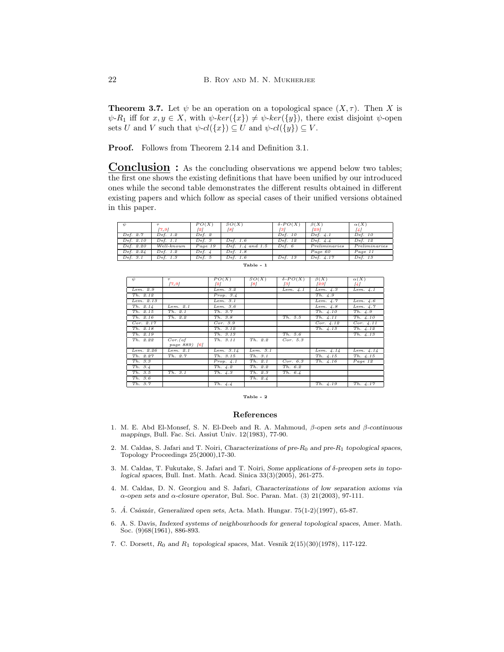**Theorem 3.7.** Let  $\psi$  be an operation on a topological space  $(X, \tau)$ . Then X is  $\psi$ -R<sub>1</sub> iff for  $x, y \in X$ , with  $\psi$ -ker({x})  $\neq \psi$ -ker({y}), there exist disjoint  $\psi$ -open sets U and V such that  $\psi$ - $cl({x}) \subseteq U$  and  $\psi$ - $cl({y}) \subseteq V$ .

Proof. Follows from Theorem 2.14 and Definition 3.1.

Conclusion: As the concluding observations we append below two tables; the first one shows the existing definitions that have been unified by our introduced ones while the second table demonstrates the different results obtained in different existing papers and which follow as special cases of their unified versions obtained in this paper.

| υ         |            | PO(X)   | SO(X)            | $\delta$ -PO(X) | $\beta(X)$    | $\alpha(X)$   |
|-----------|------------|---------|------------------|-----------------|---------------|---------------|
|           | [7.9]      | 2       | [8]              | 13,             | [29]          | [4]           |
| Def. 2.7  | Def. 1.2   | Def. 2  |                  | Def. 10         | Def. 4.1      | Def. 10       |
| Def. 2.10 | Def. 1.1   | Def. 3  | Def. 1.6         | Def. 12         | Def. 4.4      | Def. 12       |
| Def. 2.20 | Well-known | Page 19 | Def. 1.4 and 1.5 | Def. $6$        | Preliminaries | Preliminaries |
| Def. 2.24 | Def. 1.2   | Def. 4  | Def. 1.8         |                 | Page 60       | Page 11       |
| Def. 3.1  | Def. 1.3   | Def. 5  | Def. 1.6         | Def. 13         | Def. 4.17     | Def. 13       |

| $\psi$               | $\tau$        | PO(X)                | SO(X)                | $\delta$ -PO(X) | $\beta(X)$ | $\alpha(X)$ |
|----------------------|---------------|----------------------|----------------------|-----------------|------------|-------------|
|                      | [7, 9]        | [2]                  | $\sqrt{8}$           | [3]             | [29]       | [4]         |
| Lem. 2.9             |               | Lem. 3.2             |                      | Lem. 4.1        | Lem. 4.3   | Lem. 4.1    |
| Th. 2.12             |               | Prop. 3.4            |                      |                 | Th. 4.9    |             |
| Lem. 2.13            |               | Lem. 3.1             |                      |                 | Lem. 4.7   | Lem. $4.6$  |
| Th. 2.14             | Lem. 2.1      | Lem. 3.6             |                      |                 | Lem. 4.8   | Lem. 4.7    |
| Th. 2.15             | Th. 2.1       | Th. 3.7              |                      |                 | Th. 4.10   | Th. 4.9     |
| Th. 2.16             | Th. 2.2       | Th. 3.8              |                      | Th. 5.5         | Th. 4.11   | Th. 4.10    |
| Cor. 2.17            |               | Cor. 3.9             |                      |                 | Cor. 4.12  | Cor. 4.11   |
| Th. 2.18             |               | Th. 3.12             |                      |                 | Th. 4.13   | Th. 4.12    |
| Th. 2.19             |               | Th. 3.13             |                      | Th. 5.6         |            | Th. 4.13    |
| Th. 2.22             | Cor. (of      | Th. 3.11             | Th. 2.2              | Cor. 5.3        |            |             |
|                      | page 889) [6] |                      |                      |                 |            |             |
| Lem. 2.26            | Lem. 2.1      | Lem. 3.14            | Lem. 3.1             |                 | Lem. 4.14  | Lem. 4.14   |
| Th. 2.27             | Th. 2.7       | Th. 3.15             | Th. 3.1              |                 | Th. 4.15   | Th. 4.15    |
| Th. 3.3              |               | Prop. 4.1            | Th. 2.1              | Cor. 6.3        | Th. 4.16   | Page 12     |
| $\overline{Th.}$ 3.4 |               | Th. 4.2              | Th. 2.2              | Th. 6.2         |            |             |
| Th. 3.5              | Th. 3.1       | Th. 4.3              | $\overline{Th.}$ 2.3 | Th. 6.4         |            |             |
| Th. 3.6              |               |                      | Th. 2.4              |                 |            |             |
| Th. 3.7              |               | $\overline{Th.}$ 4.4 |                      |                 | Th. 4.19   | Th. 4.17    |

Table - 1

Table - 2

#### <span id="page-7-0"></span>References

- <span id="page-7-2"></span>1. M. E. Abd El-Monsef, S. N. El-Deeb and R. A. Mahmoud, β-open sets and β-continuous mappings, Bull. Fac. Sci. Assiut Univ. 12(1983), 77-90.
- <span id="page-7-4"></span>2. M. Caldas, S. Jafari and T. Noiri, Characterizations of pre- $R_0$  and pre- $R_1$  topological spaces, Topology Proceedings  $25(2000), 17-30$ .
- <span id="page-7-5"></span>3. M. Caldas, T. Fukutake, S. Jafari and T. Noiri, Some applications of δ-preopen sets in topological spaces, Bull. Inst. Math. Acad. Sinica 33(3)(2005), 261-275.
- <span id="page-7-6"></span>4. M. Caldas, D. N. Georgiou and S. Jafari, Characterizations of low separation axioms via α-open sets and α-closure operator, Bul. Soc. Paran. Mat. (3) 21(2003), 97-111.
- <span id="page-7-3"></span><span id="page-7-1"></span>5. <sup>A</sup>´. Csa´sza´r, Generalized open sets, Acta. Math. Hungar. 75(1-2)(1997), 65-87.
- 6. A. S. Davis, Indexed systems of neighbourhoods for general topological spaces, Amer. Math. Soc. (9)68(1961), 886-893.
- <span id="page-7-7"></span>7. C. Dorsett,  $R_0$  and  $R_1$  topological spaces, Mat. Vesnik  $2(15)(30)(1978)$ , 117-122.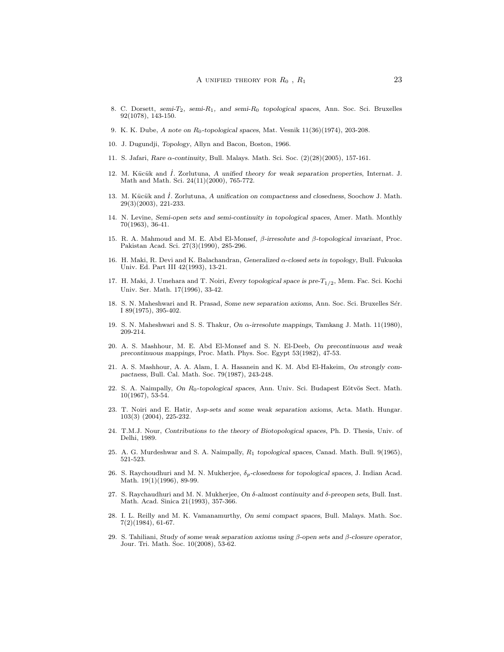- <span id="page-8-9"></span>8. C. Dorsett, semi-T<sub>2</sub>, semi-R<sub>1</sub>, and semi-R<sub>0</sub> topological spaces, Ann. Soc. Sci. Bruxelles 92(1078), 143-150.
- <span id="page-8-20"></span><span id="page-8-0"></span>9. K. K. Dube, A note on  $R_0$ -topological spaces, Mat. Vesnik  $11(36)(1974)$ , 203-208.
- <span id="page-8-4"></span>10. J. Dugundji, Topology, Allyn and Bacon, Boston, 1966.
- <span id="page-8-5"></span>11. S. Jafari, Rare α-continuity, Bull. Malays. Math. Sci. Soc. (2)(28)(2005), 157-161.
- 12. M. Kücük and  $\ddot{I}$ . Zorlutuna, A unified theory for weak separation properties, Internat. J. Math and Math. Sci. 24(11)(2000), 765-772.
- <span id="page-8-17"></span>13. M. Kücük and *I*. Zorlutuna, A unification on compactness and closedness, Soochow J. Math. 29(3)(2003), 221-233.
- 14. N. Levine, Semi-open sets and semi-continuity in topological spaces, Amer. Math. Monthly 70(1963), 36-41.
- <span id="page-8-14"></span>15. R. A. Mahmoud and M. E. Abd El-Monsef, β-irresolute and β-topological invariant, Proc. Pakistan Acad. Sci. 27(3)(1990), 285-296.
- <span id="page-8-13"></span>16. H. Maki, R. Devi and K. Balachandran, Generalized α-closed sets in topology, Bull. Fukuoka Univ. Ed. Part III 42(1993), 13-21.
- <span id="page-8-15"></span>17. H. Maki, J. Umehara and T. Noiri, Every topological space is  $pre-T_{1/2}$ , Mem. Fac. Sci. Kochi Univ. Ser. Math. 17(1996), 33-42.
- <span id="page-8-11"></span>18. S. N. Maheshwari and R. Prasad, Some new separation axioms, Ann. Soc. Sci. Bruxelles Sér. I 89(1975), 395-402.
- <span id="page-8-12"></span>19. S. N. Maheshwari and S. S. Thakur, On α-irresolute mappings, Tamkang J. Math. 11(1980), 209-214.
- <span id="page-8-1"></span>20. A. S. Mashhour, M. E. Abd El-Monsef and S. N. El-Deeb, On precontinuous and weak precontinuous mappings, Proc. Math. Phys. Soc. Egypt 53(1982), 47-53.
- <span id="page-8-18"></span>21. A. S. Mashhour, A. A. Alam, I. A. Hasanein and K. M. Abd El-Hakeim, On strongly compactness, Bull. Cal. Math. Soc. 79(1987), 243-248.
- <span id="page-8-8"></span>22. S. A. Naimpally, On R0-topological spaces, Ann. Univ. Sci. Budapest Eötvös Sect. Math. 10(1967), 53-54.
- <span id="page-8-16"></span>23. T. Noiri and E. Hatir, Λsp-sets and some weak separation axioms, Acta. Math. Hungar. 103(3) (2004), 225-232.
- <span id="page-8-10"></span>24. T.M.J. Nour, Contributions to the theory of Biotopological spaces, Ph. D. Thesis, Univ. of Delhi, 1989.
- <span id="page-8-6"></span>25. A. G. Murdeshwar and S. A. Naimpally,  $R_1$  topological spaces, Canad. Math. Bull. 9(1965), 521-523.
- <span id="page-8-19"></span>26. S. Raychoudhuri and M. N. Mukherjee,  $\delta_p$ -closedness for topological spaces, J. Indian Acad. Math. 19(1)(1996), 89-99.
- <span id="page-8-2"></span>27. S. Raychaudhuri and M. N. Mukherjee, On  $\delta$ -almost continuity and  $\delta$ -preopen sets, Bull. Inst. Math. Acad. Sinica 21(1993), 357-366.
- <span id="page-8-3"></span>28. I. L. Reilly and M. K. Vamanamurthy, On semi compact spaces, Bull. Malays. Math. Soc.  $7(2)(1984), 61-67.$
- <span id="page-8-7"></span>29. S. Tahiliani, Study of some weak separation axioms using β-open sets and β-closure operator, Jour. Tri. Math. Soc. 10(2008), 53-62.